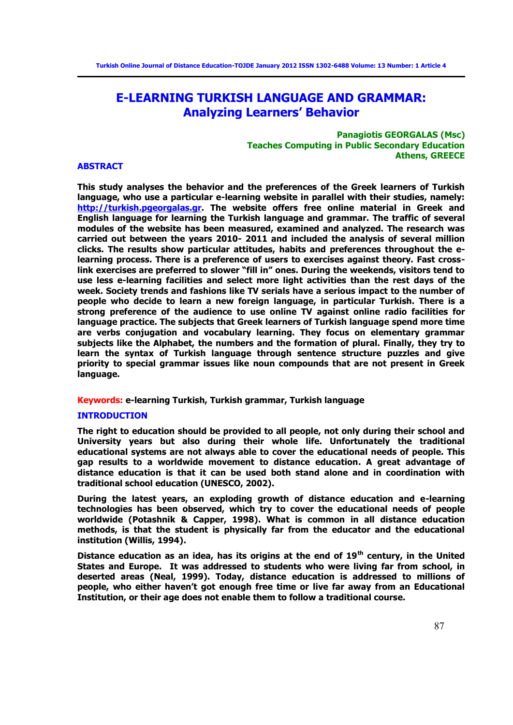# **E-LEARNING TURKISH LANGUAGE AND GRAMMAR: Analyzing Learners' Behavior**

# **Panagiotis GEORGALAS (Msc) Teaches Computing in Public Secondary Education Athens, GREECE**

#### **ABSTRACT**

**This study analyses the behavior and the preferences of the Greek learners of Turkish language, who use a particular e-learning website in parallel with their studies, namely: [http://turkish.pgeorgalas.gr.](http://turkish.pgeorgalas.gr/) The website offers free online material in Greek and English language for learning the Turkish language and grammar. The traffic of several modules of the website has been measured, examined and analyzed. The research was carried out between the years 2010- 2011 and included the analysis of several million clicks. The results show particular attitudes, habits and preferences throughout the elearning process. There is a preference of users to exercises against theory. Fast crosslink exercises are preferred to slower "fill in" ones. During the weekends, visitors tend to use less e-learning facilities and select more light activities than the rest days of the week. Society trends and fashions like TV serials have a serious impact to the number of people who decide to learn a new foreign language, in particular Turkish. There is a strong preference of the audience to use online TV against online radio facilities for language practice. The subjects that Greek learners of Turkish language spend more time are verbs conjugation and vocabulary learning. They focus on elementary grammar subjects like the Alphabet, the numbers and the formation of plural. Finally, they try to learn the syntax of Turkish language through sentence structure puzzles and give priority to special grammar issues like noun compounds that are not present in Greek language.** 

# **Keywords: e-learning Turkish, Turkish grammar, Turkish language**

#### **INTRODUCTION**

**The right to education should be provided to all people, not only during their school and University years but also during their whole life. Unfortunately the traditional educational systems are not always able to cover the educational needs of people. This gap results to a worldwide movement to distance education. A great advantage of distance education is that it can be used both stand alone and in coordination with traditional school education (UNESCO, 2002).**

**During the latest years, an exploding growth of distance education and e-learning technologies has been observed, which try to cover the educational needs of people worldwide (Potashnik & Capper, 1998). What is common in all distance education methods, is that the student is physically far from the educator and the educational institution (Willis, 1994).** 

**Distance education as an idea, has its origins at the end of 19th century, in the United States and Europe. It was addressed to students who were living far from school, in deserted areas (Neal, 1999). Today, distance education is addressed to millions of people, who either haven't got enough free time or live far away from an Educational Institution, or their age does not enable them to follow a traditional course.**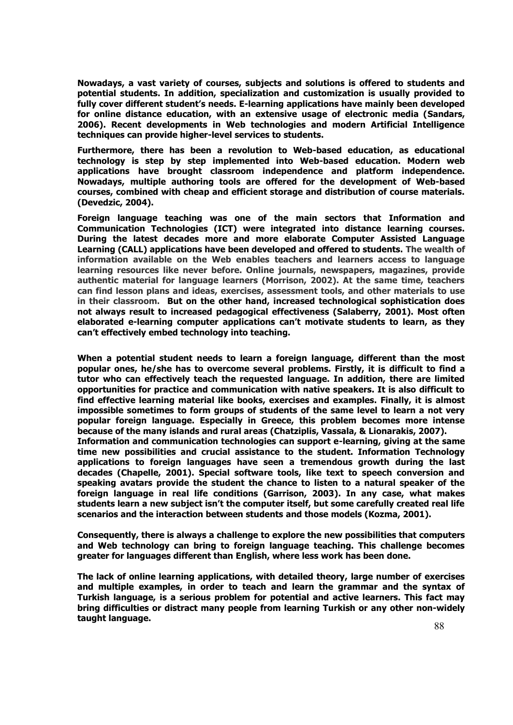**Nowadays, a vast variety of courses, subjects and solutions is offered to students and potential students. In addition, specialization and customization is usually provided to fully cover different student's needs. E-learning applications have mainly been developed for online distance education, with an extensive usage of electronic media (Sandars, 2006). Recent developments in Web technologies and modern Artificial Intelligence techniques can provide higher-level services to students.** 

**Furthermore, there has been a revolution to Web-based education, as educational technology is step by step implemented into Web-based education. Modern web applications have brought classroom independence and platform independence. Nowadays, multiple authoring tools are offered for the development of Web-based courses, combined with cheap and efficient storage and distribution of course materials. (Devedzic, 2004).** 

**Foreign language teaching was one of the main sectors that Information and Communication Technologies (ICT) were integrated into distance learning courses. During the latest decades more and more elaborate Computer Assisted Language Learning (CALL) applications have been developed and offered to students. The wealth of information available on the Web enables teachers and learners access to language learning resources like never before. Online journals, newspapers, magazines, provide authentic material for language learners (Morrison, 2002). At the same time, teachers can find lesson plans and ideas, exercises, assessment tools, and other materials to use in their classroom. But on the other hand, increased technological sophistication does not always result to increased pedagogical effectiveness (Salaberry, 2001). Most often elaborated e-learning computer applications can't motivate students to learn, as they can't effectively embed technology into teaching.**

**When a potential student needs to learn a foreign language, different than the most popular ones, he/she has to overcome several problems. Firstly, it is difficult to find a tutor who can effectively teach the requested language. In addition, there are limited opportunities for practice and communication with native speakers. It is also difficult to find effective learning material like books, exercises and examples. Finally, it is almost impossible sometimes to form groups of students of the same level to learn a not very popular foreign language. Especially in Greece, this problem becomes more intense because of the many islands and rural areas (Chatziplis, Vassala, & Lionarakis, 2007). Information and communication technologies can support e-learning, giving at the same time new possibilities and crucial assistance to the student. Information Technology applications to foreign languages have seen a tremendous growth during the last decades (Chapelle, 2001). Special software tools, like text to speech conversion and speaking avatars provide the student the chance to listen to a natural speaker of the foreign language in real life conditions (Garrison, 2003). In any case, what makes students learn a new subject isn't the computer itself, but some carefully created real life** 

**Consequently, there is always a challenge to explore the new possibilities that computers and Web technology can bring to foreign language teaching. This challenge becomes greater for languages different than English, where less work has been done.** 

**scenarios and the interaction between students and those models (Kozma, 2001).** 

**The lack of online learning applications, with detailed theory, large number of exercises and multiple examples, in order to teach and learn the grammar and the syntax of Turkish language, is a serious problem for potential and active learners. This fact may bring difficulties or distract many people from learning Turkish or any other non-widely taught language.**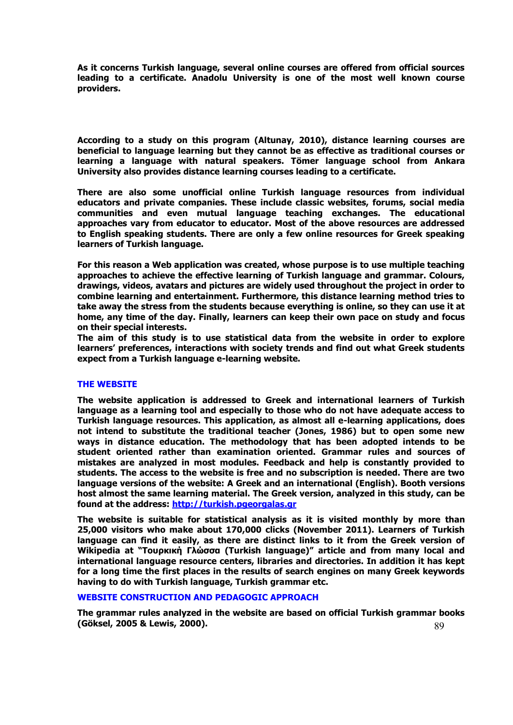**As it concerns Turkish language, several online courses are offered from official sources leading to a certificate. Anadolu University is one of the most well known course providers.** 

**According to a study on this program (Altunay, 2010), distance learning courses are beneficial to language learning but they cannot be as effective as traditional courses or learning a language with natural speakers. Tömer language school from Ankara University also provides distance learning courses leading to a certificate.** 

**There are also some unofficial online Turkish language resources from individual educators and private companies. These include classic websites, forums, social media communities and even mutual language teaching exchanges. The educational approaches vary from educator to educator. Most of the above resources are addressed to English speaking students. There are only a few online resources for Greek speaking learners of Turkish language.** 

**For this reason a Web application was created, whose purpose is to use multiple teaching approaches to achieve the effective learning of Turkish language and grammar. Colours, drawings, videos, avatars and pictures are widely used throughout the project in order to combine learning and entertainment. Furthermore, this distance learning method tries to take away the stress from the students because everything is online, so they can use it at home, any time of the day. Finally, learners can keep their own pace on study and focus on their special interests.** 

**The aim of this study is to use statistical data from the website in order to explore learners' preferences, interactions with society trends and find out what Greek students expect from a Turkish language e-learning website.** 

# **THE WEBSITE**

**The website application is addressed to Greek and international learners of Turkish language as a learning tool and especially to those who do not have adequate access to Turkish language resources. This application, as almost all e-learning applications, does not intend to substitute the traditional teacher (Jones, 1986) but to open some new ways in distance education. The methodology that has been adopted intends to be student oriented rather than examination oriented. Grammar rules and sources of mistakes are analyzed in most modules. Feedback and help is constantly provided to students. The access to the website is free and no subscription is needed. There are two language versions of the website: A Greek and an international (English). Booth versions host almost the same learning material. The Greek version, analyzed in this study, can be found at the address: [http://turkish.pgeorgalas.gr](http://turkish.pgeorgalas.gr/)** 

**The website is suitable for statistical analysis as it is visited monthly by more than 25,000 visitors who make about 170,000 clicks (November 2011). Learners of Turkish language can find it easily, as there are distinct links to it from the Greek version of Wikipedia at "Τουρκική Γλώσσα (Turkish language)" article and from many local and international language resource centers, libraries and directories. In addition it has kept for a long time the first places in the results of search engines on many Greek keywords having to do with Turkish language, Turkish grammar etc.**

### **WEBSITE CONSTRUCTION AND PEDAGOGIC APPROACH**

89 **The grammar rules analyzed in the website are based on official Turkish grammar books (Göksel, 2005 & Lewis, 2000).**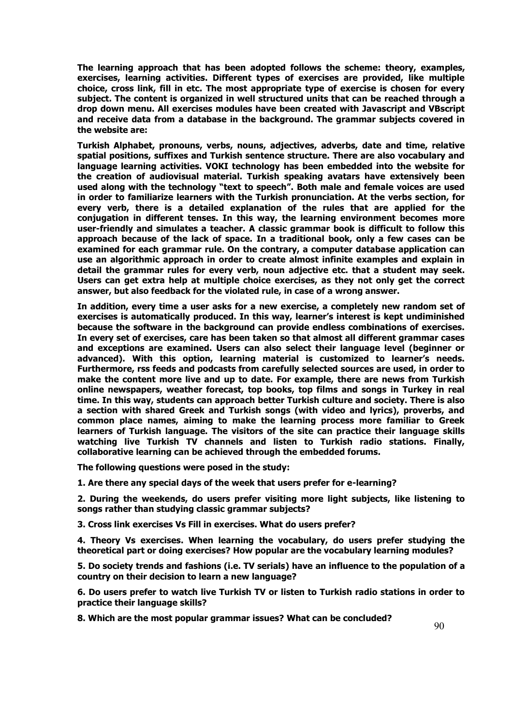**The learning approach that has been adopted follows the scheme: theory, examples, exercises, learning activities. Different types of exercises are provided, like multiple choice, cross link, fill in etc. The most appropriate type of exercise is chosen for every subject. The content is organized in well structured units that can be reached through a drop down menu. All exercises modules have been created with Javascript and VBscript and receive data from a database in the background. The grammar subjects covered in the website are:** 

**Turkish Alphabet, pronouns, verbs, nouns, adjectives, adverbs, date and time, relative spatial positions, suffixes and Turkish sentence structure. There are also vocabulary and language learning activities. VOKI technology has been embedded into the website for the creation of audiovisual material. Turkish speaking avatars have extensively been used along with the technology "text to speech". Both male and female voices are used in order to familiarize learners with the Turkish pronunciation. At the verbs section, for every verb, there is a detailed explanation of the rules that are applied for the conjugation in different tenses. In this way, the learning environment becomes more user-friendly and simulates a teacher. A classic grammar book is difficult to follow this approach because of the lack of space. In a traditional book, only a few cases can be examined for each grammar rule. On the contrary, a computer database application can use an algorithmic approach in order to create almost infinite examples and explain in detail the grammar rules for every verb, noun adjective etc. that a student may seek. Users can get extra help at multiple choice exercises, as they not only get the correct answer, but also feedback for the violated rule, in case of a wrong answer.** 

**In addition, every time a user asks for a new exercise, a completely new random set of exercises is automatically produced. In this way, learner's interest is kept undiminished because the software in the background can provide endless combinations of exercises. In every set of exercises, care has been taken so that almost all different grammar cases and exceptions are examined. Users can also select their language level (beginner or advanced). With this option, learning material is customized to learner's needs. Furthermore, rss feeds and podcasts from carefully selected sources are used, in order to make the content more live and up to date. For example, there are news from Turkish online newspapers, weather forecast, top books, top films and songs in Turkey in real time. In this way, students can approach better Turkish culture and society. There is also a section with shared Greek and Turkish songs (with video and lyrics), proverbs, and common place names, aiming to make the learning process more familiar to Greek learners of Turkish language. The visitors of the site can practice their language skills watching live Turkish TV channels and listen to Turkish radio stations. Finally, collaborative learning can be achieved through the embedded forums.** 

**The following questions were posed in the study:** 

**1. Are there any special days of the week that users prefer for e-learning?** 

**2. During the weekends, do users prefer visiting more light subjects, like listening to songs rather than studying classic grammar subjects?** 

**3. Cross link exercises Vs Fill in exercises. What do users prefer?** 

**4. Theory Vs exercises. When learning the vocabulary, do users prefer studying the theoretical part or doing exercises? How popular are the vocabulary learning modules?** 

**5. Do society trends and fashions (i.e. TV serials) have an influence to the population of a country on their decision to learn a new language?** 

**6. Do users prefer to watch live Turkish TV or listen to Turkish radio stations in order to practice their language skills?** 

**8. Which are the most popular grammar issues? What can be concluded?**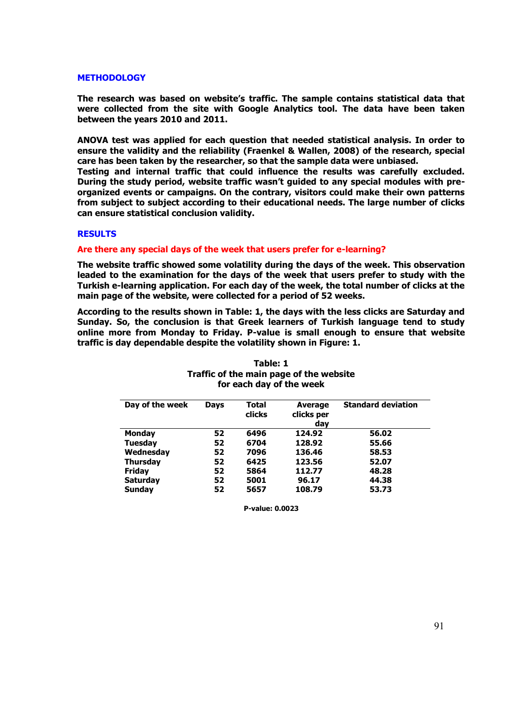# **METHODOLOGY**

**The research was based on website's traffic. The sample contains statistical data that were collected from the site with Google Analytics tool. The data have been taken between the years 2010 and 2011.** 

**ANOVA test was applied for each question that needed statistical analysis. In order to ensure the validity and the reliability (Fraenkel & Wallen, 2008) of the research, special care has been taken by the researcher, so that the sample data were unbiased.** 

**Testing and internal traffic that could influence the results was carefully excluded. During the study period, website traffic wasn't guided to any special modules with preorganized events or campaigns. On the contrary, visitors could make their own patterns from subject to subject according to their educational needs. The large number of clicks can ensure statistical conclusion validity.** 

# **RESULTS**

# **Are there any special days of the week that users prefer for e-learning?**

**The website traffic showed some volatility during the days of the week. This observation leaded to the examination for the days of the week that users prefer to study with the Turkish e-learning application. For each day of the week, the total number of clicks at the main page of the website, were collected for a period of 52 weeks.** 

**According to the results shown in Table: 1, the days with the less clicks are Saturday and Sunday. So, the conclusion is that Greek learners of Turkish language tend to study online more from Monday to Friday. P-value is small enough to ensure that website traffic is day dependable despite the volatility shown in Figure: 1.** 

| Day of the week | <b>Days</b> | Total<br>clicks | <b>Average</b><br>clicks per<br>day | <b>Standard deviation</b> |
|-----------------|-------------|-----------------|-------------------------------------|---------------------------|
| <b>Monday</b>   | 52          | 6496            | 124.92                              | 56.02                     |
| <b>Tuesday</b>  | 52          | 6704            | 128.92                              | 55.66                     |
| Wednesday       | 52          | 7096            | 136.46                              | 58.53                     |
| <b>Thursday</b> | 52          | 6425            | 123.56                              | 52.07                     |
| <b>Friday</b>   | 52          | 5864            | 112.77                              | 48.28                     |
| <b>Saturday</b> | 52          | 5001            | 96.17                               | 44.38                     |
| <b>Sunday</b>   | 52          | 5657            | 108.79                              | 53.73                     |

| Table: 1                                |
|-----------------------------------------|
| Traffic of the main page of the website |
| for each day of the week                |

**P-value: 0.0023**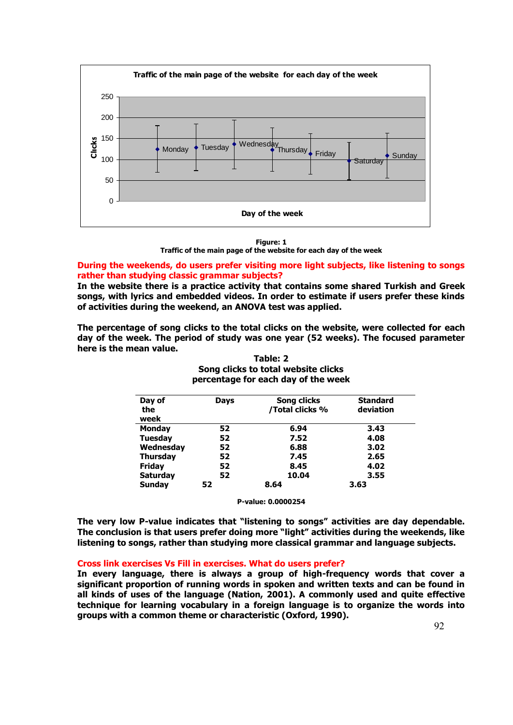

**Figure: 1** 

**Traffic of the main page of the website for each day of the week** 

# **During the weekends, do users prefer visiting more light subjects, like listening to songs rather than studying classic grammar subjects?**

**In the website there is a practice activity that contains some shared Turkish and Greek songs, with lyrics and embedded videos. In order to estimate if users prefer these kinds of activities during the weekend, an ANOVA test was applied.** 

**The percentage of song clicks to the total clicks on the website, were collected for each day of the week. The period of study was one year (52 weeks). The focused parameter here is the mean value.** 

| Day of          | <b>Days</b> | <b>Song clicks</b> | <b>Standard</b> |
|-----------------|-------------|--------------------|-----------------|
| the             |             | /Total clicks %    | deviation       |
| week            |             |                    |                 |
| <b>Monday</b>   | 52          | 6.94               | 3.43            |
| <b>Tuesday</b>  | 52          | 7.52               | 4.08            |
| Wednesday       | 52          | 6.88               | 3.02            |
| <b>Thursday</b> | 52          | 7.45               | 2.65            |
| <b>Friday</b>   | 52          | 8.45               | 4.02            |
| <b>Saturday</b> | 52          | 10.04              | 3.55            |
| <b>Sundav</b>   | 52          | 8.64               | 3.63            |

# **Table: 2 Song clicks to total website clicks percentage for each day of the week**

**P-value: 0.0000254** 

**The very low P-value indicates that "listening to songs" activities are day dependable. The conclusion is that users prefer doing more "light" activities during the weekends, like listening to songs, rather than studying more classical grammar and language subjects.** 

# **Cross link exercises Vs Fill in exercises. What do users prefer?**

**In every language, there is always a group of high-frequency words that cover a significant proportion of running words in spoken and written texts and can be found in all kinds of uses of the language (Nation, 2001). A commonly used and quite effective technique for learning vocabulary in a foreign language is to organize the words into groups with a common theme or characteristic (Oxford, 1990).**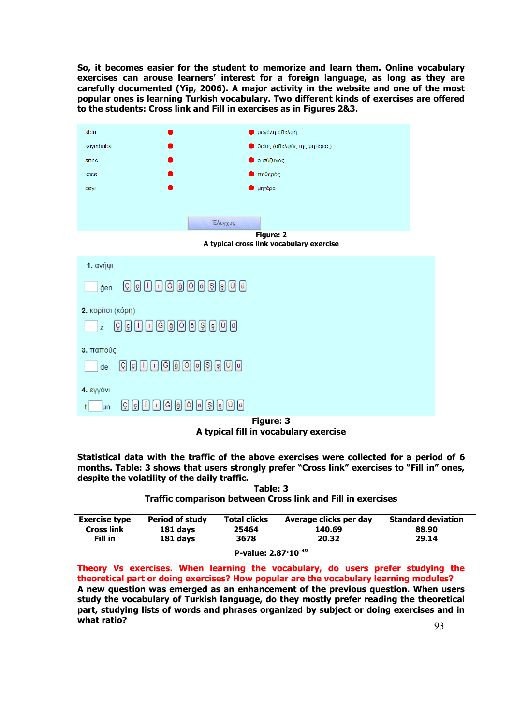**So, it becomes easier for the student to memorize and learn them. Online vocabulary exercises can arouse learners' interest for a foreign language, as long as they are carefully documented (Yip, 2006). A major activity in the website and one of the most popular ones is learning Turkish vocabulary. Two different kinds of exercises are offered to the students: Cross link and Fill in exercises as in Figures 2&3.** 



**A typical fill in vocabulary exercise** 

**Statistical data with the traffic of the above exercises were collected for a period of 6 months. Table: 3 shows that users strongly prefer "Cross link" exercises to "Fill in" ones, despite the volatility of the daily traffic.** 

**Table: 3 Traffic comparison between Cross link and Fill in exercises** 

| <b>Exercise type</b> | <b>Period of study</b> | <b>Total clicks</b>            | Average clicks per day | <b>Standard deviation</b> |
|----------------------|------------------------|--------------------------------|------------------------|---------------------------|
| <b>Cross link</b>    | 181 days               | 25464                          | 140.69                 | 88.90                     |
| Fill in              | 181 days               | 3678                           | 20.32                  | 29.14                     |
|                      |                        | P-value: $2.87 \cdot 10^{-49}$ |                        |                           |

**Theory Vs exercises. When learning the vocabulary, do users prefer studying the theoretical part or doing exercises? How popular are the vocabulary learning modules? A new question was emerged as an enhancement of the previous question. When users study the vocabulary of Turkish language, do they mostly prefer reading the theoretical part, studying lists of words and phrases organized by subject or doing exercises and in what ratio?**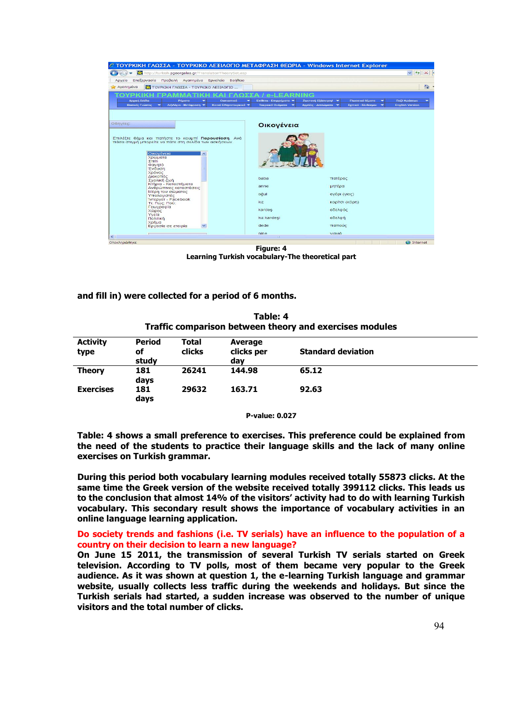| © ΤΟΥΡΚΙΚΗ ΓΛΩΣΣΑ - ΤΟΥΡΚΙΚΟ ΛΕΞΙΛΟΓΙΟ ΜΕΤΑΦΡΑΣΗ ΘΕΩΡΙΑ - Windows Internet Explorer                          |                      |                          |                         |                                   |   |
|--------------------------------------------------------------------------------------------------------------|----------------------|--------------------------|-------------------------|-----------------------------------|---|
| http://turkish.pgeorgalas.gr/TranslationTheorySet.asp                                                        |                      |                          |                         | $\vee$ $\leftrightarrow$ $\times$ |   |
| Επεξεργασία Προβολή Αγαπημένα Εργαλεία Βοήθεια<br>Αρχείο                                                     |                      |                          |                         |                                   |   |
| ΤΟΥΡΚΙΚΗ ΓΛΩΣΣΑ - ΤΟΥΡΚΙΚΟ ΛΕΞΙΛΟΓΙΟ<br>Αγαπημένα                                                            |                      |                          |                         |                                   | 合 |
|                                                                                                              |                      |                          |                         |                                   |   |
| Αρχική Σελίδα<br>Ρήματα<br>Ουσιαστικά                                                                        | Επίθετα Επιρρήματα * | Ζωντανή Εξάσκηση! *      | Γλωσσικά θέματα         | Παζλ Φράσεων                      |   |
| Κοινά Ελληνοτουρκικά <b>*</b><br>Βασικές Γνώσεις<br>Λεξιλόγιο - Μετάφραση<br>*                               | Τουρκικά Ονόματα     | Αγγελίες - Διπλώματα - * | Σχετικά - Σύνδεσμοι - Ψ | <b>English Version</b>            |   |
|                                                                                                              |                      |                          |                         |                                   |   |
|                                                                                                              |                      |                          |                         |                                   |   |
| Οδηγίες:                                                                                                     | Οικογένεια           |                          |                         |                                   |   |
|                                                                                                              |                      |                          |                         |                                   |   |
| Επιλέξτε θέμα και πατήστε το κουμπί Παρουσίαση. Ανά<br>πάσα στιγμή μπορείτε να πάτε στη σελίδα των ασκήσεων. |                      |                          |                         |                                   |   |
|                                                                                                              |                      |                          |                         |                                   |   |
| Οικογένεια                                                                                                   |                      |                          |                         |                                   |   |
| Χρώματα<br>Σπίτι                                                                                             |                      |                          |                         |                                   |   |
| Φαγητό                                                                                                       |                      |                          |                         |                                   |   |
| Ένδυση<br>Χρόνος                                                                                             |                      |                          |                         |                                   |   |
| Διακοπές<br>Σχολική ζωή                                                                                      | baba                 | πατέρας                  |                         |                                   |   |
| Κτήρια - Καταστήματα                                                                                         | anne                 | μητέρα                   |                         |                                   |   |
| Ανθρώπινες καταστάσεις<br>Μέρη του σώματος                                                                   |                      |                          |                         |                                   |   |
| Υπολογιστές<br><b>1vτερνετ - Facebook</b>                                                                    | oğul                 | αγόρι (γιος)             |                         |                                   |   |
| Τι: Πώς: Πού:                                                                                                | kiz                  |                          | κορίτσι (κόρη)          |                                   |   |
| Γεωγραφία<br>Χώρες                                                                                           | kardes               | αδελφός                  |                         |                                   |   |
| Υγεία<br>ΠΟλιτική                                                                                            | kız kardesi          | αδελφή                   |                         |                                   |   |
| Χρήμα                                                                                                        | dede                 | παπούς                   |                         |                                   |   |
| Εργασία σε εταιρία                                                                                           |                      |                          |                         |                                   |   |
| k                                                                                                            | nine<br><b>COLE</b>  | viaviá                   |                         |                                   |   |
| Ολοκληρώθηκε                                                                                                 |                      |                          |                         | <b>O</b> Internet                 |   |

**Figure: 4 Learning Turkish vocabulary-The theoretical part** 

**and fill in) were collected for a period of 6 months.** 

|                         |                              |                 |                              | <u>Hanne comparison between theory and excretises modules</u> |  |
|-------------------------|------------------------------|-----------------|------------------------------|---------------------------------------------------------------|--|
| <b>Activity</b><br>type | <b>Period</b><br>οf<br>study | Total<br>clicks | Average<br>clicks per<br>day | <b>Standard deviation</b>                                     |  |
| <b>Theory</b>           | 181<br>days                  | 26241           | 144.98                       | 65.12                                                         |  |
| <b>Exercises</b>        | 181<br>days                  | 29632           | 163.71                       | 92.63                                                         |  |
|                         |                              |                 |                              |                                                               |  |

**Table: 4 Traffic comparison between theory and exercises modules** 

**P-value: 0.027** 

**Table: 4 shows a small preference to exercises. This preference could be explained from the need of the students to practice their language skills and the lack of many online exercises on Turkish grammar.** 

**During this period both vocabulary learning modules received totally 55873 clicks. At the same time the Greek version of the website received totally 399112 clicks. This leads us to the conclusion that almost 14% of the visitors' activity had to do with learning Turkish vocabulary. This secondary result shows the importance of vocabulary activities in an online language learning application.** 

# **Do society trends and fashions (i.e. TV serials) have an influence to the population of a country on their decision to learn a new language?**

**On June 15 2011, the transmission of several Turkish TV serials started on Greek television. According to TV polls, most of them became very popular to the Greek audience. As it was shown at question 1, the e-learning Turkish language and grammar website, usually collects less traffic during the weekends and holidays. But since the Turkish serials had started, a sudden increase was observed to the number of unique visitors and the total number of clicks.**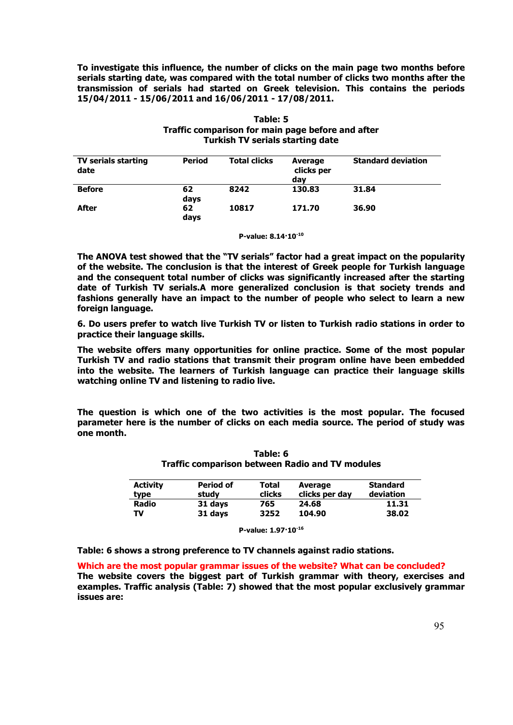**To investigate this influence, the number of clicks on the main page two months before serials starting date, was compared with the total number of clicks two months after the transmission of serials had started on Greek television. This contains the periods 15/04/2011 - 15/06/2011 and 16/06/2011 - 17/08/2011.** 

| <b>TV serials starting</b><br>date | <b>Period</b> | <b>Total clicks</b> | Average<br>clicks per<br>day | <b>Standard deviation</b> |
|------------------------------------|---------------|---------------------|------------------------------|---------------------------|
| <b>Before</b>                      | 62<br>days    | 8242                | 130.83                       | 31.84                     |
| After                              | 62<br>days    | 10817               | 171.70                       | 36.90                     |

# **Table: 5 Traffic comparison for main page before and after Turkish TV serials starting date**

**P-value: 8.14·10-10**

**The ANOVA test showed that the "TV serials" factor had a great impact on the popularity of the website. The conclusion is that the interest of Greek people for Turkish language and the consequent total number of clicks was significantly increased after the starting date of Turkish TV serials.A more generalized conclusion is that society trends and fashions generally have an impact to the number of people who select to learn a new foreign language.** 

**6. Do users prefer to watch live Turkish TV or listen to Turkish radio stations in order to practice their language skills.** 

**The website offers many opportunities for online practice. Some of the most popular Turkish TV and radio stations that transmit their program online have been embedded into the website. The learners of Turkish language can practice their language skills watching online TV and listening to radio live.** 

**The question is which one of the two activities is the most popular. The focused parameter here is the number of clicks on each media source. The period of study was one month.** 

**Table: 6 Traffic comparison between Radio and TV modules** 

| <b>Activity</b><br>type | <b>Period of</b><br>studv | Total<br>clicks | Average<br>clicks per day | <b>Standard</b><br>deviation |
|-------------------------|---------------------------|-----------------|---------------------------|------------------------------|
| <b>Radio</b>            | 31 days                   | 765             | 24.68                     | 11.31                        |
| TV                      | 31 days                   | 3252            | 104.90                    | 38.02                        |

**P-value: 1.97·10-16**

**Table: 6 shows a strong preference to TV channels against radio stations.** 

**Which are the most popular grammar issues of the website? What can be concluded? The website covers the biggest part of Turkish grammar with theory, exercises and examples. Traffic analysis (Table: 7) showed that the most popular exclusively grammar issues are:**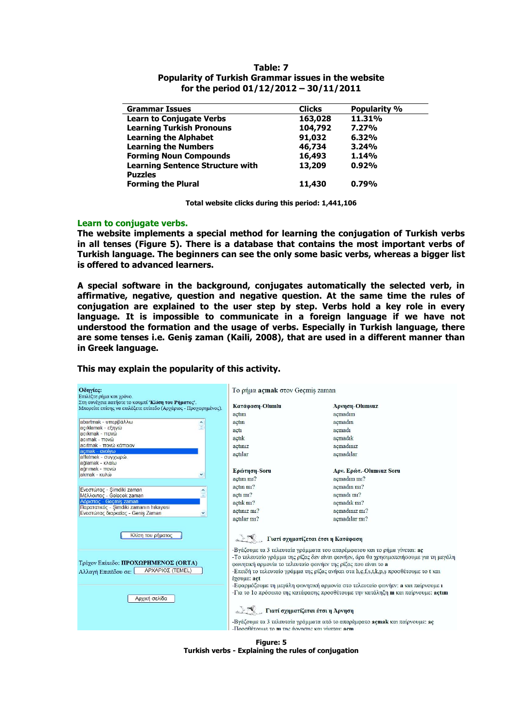| <b>Grammar Issues</b>                   | <b>Clicks</b> | <b>Popularity %</b> |
|-----------------------------------------|---------------|---------------------|
| <b>Learn to Conjugate Verbs</b>         | 163,028       | 11.31%              |
| <b>Learning Turkish Pronouns</b>        | 104,792       | 7.27%               |
| <b>Learning the Alphabet</b>            | 91,032        | 6.32%               |
| <b>Learning the Numbers</b>             | 46,734        | 3.24%               |
| <b>Forming Noun Compounds</b>           | 16,493        | 1.14%               |
| <b>Learning Sentence Structure with</b> | 13,209        | 0.92%               |
| <b>Puzzles</b>                          |               |                     |
| <b>Forming the Plural</b>               | 11,430        | 0.79%               |

# **Table: 7 Popularity of Turkish Grammar issues in the website for the period 01/12/2012 – 30/11/2011**

**Total website clicks during this period: 1,441,106** 

#### **Learn to conjugate verbs.**

**The website implements a special method for learning the conjugation of Turkish verbs in all tenses (Figure 5). There is a database that contains the most important verbs of Turkish language. The beginners can see the only some basic verbs, whereas a bigger list is offered to advanced learners.** 

**A special software in the background, conjugates automatically the selected verb, in affirmative, negative, question and negative question. At the same time the rules of conjugation are explained to the user step by step. Verbs hold a key role in every language. It is impossible to communicate in a foreign language if we have not understood the formation and the usage of verbs. Especially in Turkish language, there are some tenses i.e. Geniş zaman (Kaili, 2008), that are used in a different manner than in Greek language.** 



**This may explain the popularity of this activity.** 

**Figure: 5 Turkish verbs - Explaining the rules of conjugation**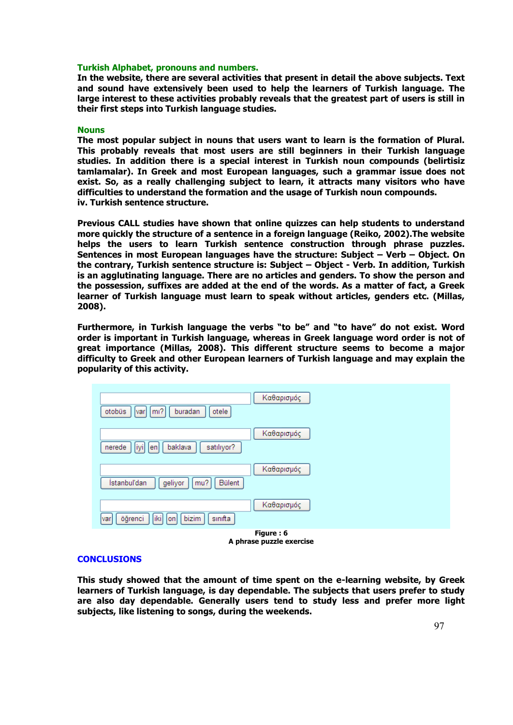### **Turkish Alphabet, pronouns and numbers.**

**In the website, there are several activities that present in detail the above subjects. Text and sound have extensively been used to help the learners of Turkish language. The large interest to these activities probably reveals that the greatest part of users is still in their first steps into Turkish language studies.** 

#### **Nouns**

**The most popular subject in nouns that users want to learn is the formation of Plural. This probably reveals that most users are still beginners in their Turkish language studies. In addition there is a special interest in Turkish noun compounds (belirtisiz tamlamalar). In Greek and most European languages, such a grammar issue does not exist. So, as a really challenging subject to learn, it attracts many visitors who have difficulties to understand the formation and the usage of Turkish noun compounds. iv. Turkish sentence structure.** 

**Previous CALL studies have shown that online quizzes can help students to understand more quickly the structure of a sentence in a foreign language (Reiko, 2002).The website helps the users to learn Turkish sentence construction through phrase puzzles. Sentences in most European languages have the structure: Subject – Verb – Object. On the contrary, Turkish sentence structure is: Subject – Object - Verb. In addition, Turkish is an agglutinating language. There are no articles and genders. To show the person and the possession, suffixes are added at the end of the words. As a matter of fact, a Greek learner of Turkish language must learn to speak without articles, genders etc. (Millas, 2008).** 

**Furthermore, in Turkish language the verbs "to be" and "to have" do not exist. Word order is important in Turkish language, whereas in Greek language word order is not of great importance (Millas, 2008). This different structure seems to become a major difficulty to Greek and other European learners of Turkish language and may explain the popularity of this activity.** 

| Καθαρισμός<br>otobüs<br>$\mid$ m <sup>2</sup><br>buradan<br>otele<br>var |
|--------------------------------------------------------------------------|
| Καθαρισμός<br>baklava<br>iyi<br>satılıyor?<br>nerede<br>lenl             |
| Καθαρισμός<br>İstanbul'dan<br>Bülent<br>geliyor<br>mu?                   |
| Καθαρισμός<br>öğrenci<br>bizim<br>iki<br>sinifta<br> on <br>var          |
| Figure: 6<br>A phrase puzzle exercise                                    |

# **CONCLUSIONS**

**This study showed that the amount of time spent on the e-learning website, by Greek learners of Turkish language, is day dependable. The subjects that users prefer to study are also day dependable. Generally users tend to study less and prefer more light subjects, like listening to songs, during the weekends.**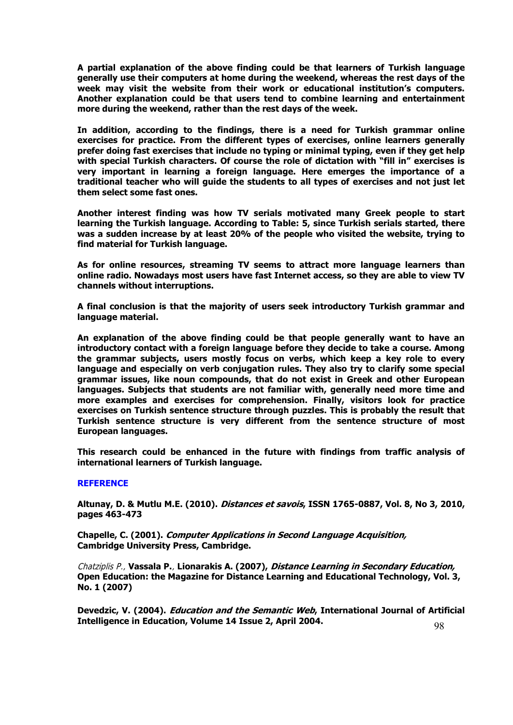**A partial explanation of the above finding could be that learners of Turkish language generally use their computers at home during the weekend, whereas the rest days of the week may visit the website from their work or educational institution's computers. Another explanation could be that users tend to combine learning and entertainment more during the weekend, rather than the rest days of the week.** 

**In addition, according to the findings, there is a need for Turkish grammar online exercises for practice. From the different types of exercises, online learners generally prefer doing fast exercises that include no typing or minimal typing, even if they get help with special Turkish characters. Of course the role of dictation with "fill in" exercises is very important in learning a foreign language. Here emerges the importance of a traditional teacher who will guide the students to all types of exercises and not just let them select some fast ones.** 

**Another interest finding was how TV serials motivated many Greek people to start learning the Turkish language. According to Table: 5, since Turkish serials started, there was a sudden increase by at least 20% of the people who visited the website, trying to find material for Turkish language.** 

**As for online resources, streaming TV seems to attract more language learners than online radio. Nowadays most users have fast Internet access, so they are able to view TV channels without interruptions.** 

**A final conclusion is that the majority of users seek introductory Turkish grammar and language material.** 

**An explanation of the above finding could be that people generally want to have an introductory contact with a foreign language before they decide to take a course. Among the grammar subjects, users mostly focus on verbs, which keep a key role to every language and especially on verb conjugation rules. They also try to clarify some special grammar issues, like noun compounds, that do not exist in Greek and other European languages. Subjects that students are not familiar with, generally need more time and more examples and exercises for comprehension. Finally, visitors look for practice exercises on Turkish sentence structure through puzzles. This is probably the result that Turkish sentence structure is very different from the sentence structure of most European languages.** 

**This research could be enhanced in the future with findings from traffic analysis of international learners of Turkish language.** 

#### **REFERENCE**

**Altunay, D. & Mutlu M.E. (2010). Distances et savois, ISSN 1765-0887, Vol. 8, No 3, 2010, pages 463-473**

**Chapelle, C. (2001). Computer Applications in Second Language Acquisition, Cambridge University Press, Cambridge.** 

Chatziplis P., **Vassala P.**, **Lionarakis A. (2007), Distance Learning in Secondary Education, Open Education: the Magazine for Distance Learning and Educational Technology, Vol. 3, No. 1 (2007)** 

98 **Devedzic, V. (2004). Education and the Semantic Web, International Journal of Artificial Intelligence in Education, Volume 14 Issue 2, April 2004.**